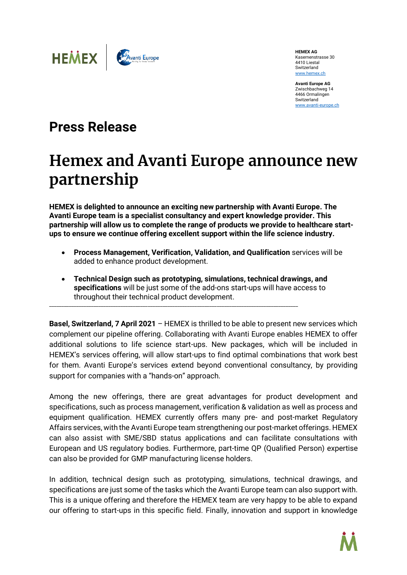

**HEMEX AG** Kasernenstrasse 30 4410 Liestal Switzerland [www.hemex.ch](http://www.hemex.ch/)

**Avanti Europe AG** Zwischbachweg 14 4466 Ormalingen Switzerland [www.avanti-europe.ch](http://www.avanti-europe.ch/) 

## **Press Release**

## **Hemex and Avanti Europe announce new partnership**

**HEMEX is delighted to announce an exciting new partnership with Avanti Europe. The Avanti Europe team is a specialist consultancy and expert knowledge provider. This partnership will allow us to complete the range of products we provide to healthcare startups to ensure we continue offering excellent support within the life science industry.**

- **Process Management, Verification, Validation, and Qualification** services will be added to enhance product development.
- **Technical Design such as prototyping, simulations, technical drawings, and specifications** will be just some of the add-ons start-ups will have access to throughout their technical product development.

\_\_\_\_\_\_\_\_\_\_\_\_\_\_\_\_\_\_\_\_\_\_\_\_\_\_\_\_\_\_\_\_\_\_\_\_\_\_\_\_\_\_\_\_\_\_\_\_\_\_\_\_\_\_\_\_\_\_\_\_\_\_\_\_\_\_\_\_\_\_\_\_\_\_\_\_\_\_\_\_\_\_\_\_\_\_\_\_\_\_\_\_\_\_\_\_\_\_\_\_\_

**Basel, Switzerland, 7 April 2021** – HEMEX is thrilled to be able to present new services which complement our pipeline offering. Collaborating with Avanti Europe enables HEMEX to offer additional solutions to life science start-ups. New packages, which will be included in HEMEX's services offering, will allow start-ups to find optimal combinations that work best for them. Avanti Europe's services extend beyond conventional consultancy, by providing support for companies with a "hands-on" approach.

Among the new offerings, there are great advantages for product development and specifications, such as process management, verification & validation as well as process and equipment qualification. HEMEX currently offers many pre- and post-market Regulatory Affairs services, with the Avanti Europe team strengthening our post-market offerings. HEMEX can also assist with SME/SBD status applications and can facilitate consultations with European and US regulatory bodies. Furthermore, part-time QP (Qualified Person) expertise can also be provided for GMP manufacturing license holders.

In addition, technical design such as prototyping, simulations, technical drawings, and specifications are just some of the tasks which the Avanti Europe team can also support with. This is a unique offering and therefore the HEMEX team are very happy to be able to expand our offering to start-ups in this specific field. Finally, innovation and support in knowledge